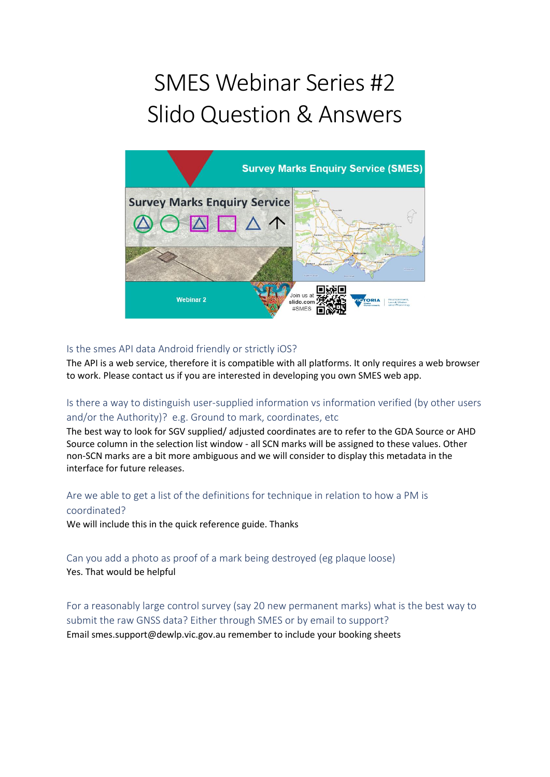# SMES Webinar Series #2 Slido Question & Answers



## Is the smes API data Android friendly or strictly iOS?

The API is a web service, therefore it is compatible with all platforms. It only requires a web browser to work. Please contact us if you are interested in developing you own SMES web app.

## Is there a way to distinguish user-supplied information vs information verified (by other users and/or the Authority)? e.g. Ground to mark, coordinates, etc

The best way to look for SGV supplied/ adjusted coordinates are to refer to the GDA Source or AHD Source column in the selection list window - all SCN marks will be assigned to these values. Other non-SCN marks are a bit more ambiguous and we will consider to display this metadata in the interface for future releases.

# Are we able to get a list of the definitions for technique in relation to how a PM is coordinated?

We will include this in the quick reference guide. Thanks

## Can you add a photo as proof of a mark being destroyed (eg plaque loose) Yes. That would be helpful

For a reasonably large control survey (say 20 new permanent marks) what is the best way to submit the raw GNSS data? Either through SMES or by email to support? Email smes.support@dewlp.vic.gov.au remember to include your booking sheets